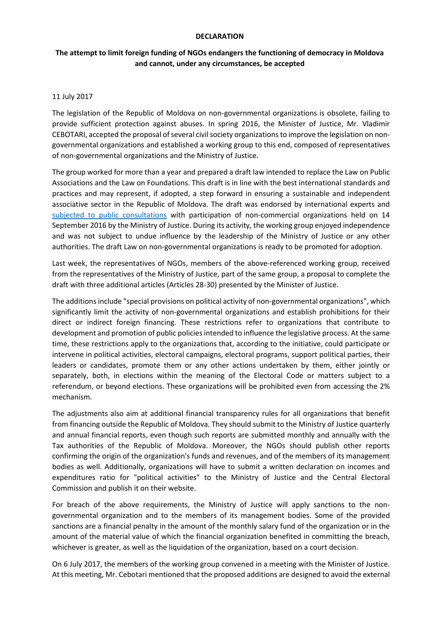#### **DECLARATION**

## **The attempt to limit foreign funding of NGOs endangers the functioning of democracy in Moldova and cannot, under any circumstances, be accepted**

#### 11 July 2017

The legislation of the Republic of Moldova on non-governmental organizations is obsolete, failing to provide sufficient protection against abuses. In spring 2016, the Minister of Justice, Mr. Vladimir CEBOTARI, accepted the proposal of several civil society organizations to improve the legislation on nongovernmental organizations and established a working group to this end, composed of representatives of non-governmental organizations and the Ministry of Justice.

The group worked for more than a year and prepared a draft law intended to replace the Law on Public Associations and the Law on Foundations. This draft is in line with the best international standards and practices and may represent, if adopted, a step forward in ensuring a sustainable and independent associative sector in the Republic of Moldova. The draft was endorsed by international experts and subjected [to public consultations](https://www.privesc.eu/arhiva/68846/Sedinta-de-consultare-publica-a-proiectului-Legii-cu-privire-la-organizatiile-necomerciale) with participation of non-commercial organizations held on 14 September 2016 by the Ministry of Justice. During its activity, the working group enjoyed independence and was not subject to undue influence by the leadership of the Ministry of Justice or any other authorities. The draft Law on non-governmental organizations is ready to be promoted for adoption.

Last week, the representatives of NGOs, members of the above-referenced working group, received from the representatives of the Ministry of Justice, part of the same group, a proposal to complete the draft with three additional articles (Articles 28-30) presented by the Minister of Justice.

The additions include "special provisions on political activity of non-governmental organizations", which significantly limit the activity of non-governmental organizations and establish prohibitions for their direct or indirect foreign financing. These restrictions refer to organizations that contribute to development and promotion of public policies intended to influence the legislative process. At the same time, these restrictions apply to the organizations that, according to the initiative, could participate or intervene in political activities, electoral campaigns, electoral programs, support political parties, their leaders or candidates, promote them or any other actions undertaken by them, either jointly or separately, both, in elections within the meaning of the Electoral Code or matters subject to a referendum, or beyond elections. These organizations will be prohibited even from accessing the 2% mechanism.

The adjustments also aim at additional financial transparency rules for all organizations that benefit from financing outside the Republic of Moldova. They should submit to the Ministry of Justice quarterly and annual financial reports, even though such reports are submitted monthly and annually with the Tax authorities of the Republic of Moldova. Moreover, the NGOs should publish other reports confirming the origin of the organization's funds and revenues, and of the members of its management bodies as well. Additionally, organizations will have to submit a written declaration on incomes and expenditures ratio for "political activities" to the Ministry of Justice and the Central Electoral Commission and publish it on their website.

For breach of the above requirements, the Ministry of Justice will apply sanctions to the nongovernmental organization and to the members of its management bodies. Some of the provided sanctions are a financial penalty in the amount of the monthly salary fund of the organization or in the amount of the material value of which the financial organization benefited in committing the breach, whichever is greater, as well as the liquidation of the organization, based on a court decision.

On 6 July 2017, the members of the working group convened in a meeting with the Minister of Justice. At this meeting, Mr. Cebotari mentioned that the proposed additions are designed to avoid the external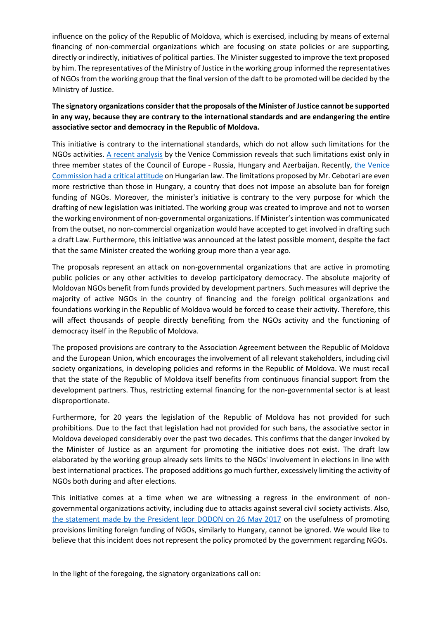influence on the policy of the Republic of Moldova, which is exercised, including by means of external financing of non-commercial organizations which are focusing on state policies or are supporting, directly or indirectly, initiatives of political parties. The Minister suggested to improve the text proposed by him. The representatives of the Ministry of Justice in the working group informed the representatives of NGOs from the working group that the final version of the daft to be promoted will be decided by the Ministry of Justice.

# **The signatory organizations consider that the proposals of the Minister of Justice cannot be supported in any way, because they are contrary to the international standards and are endangering the entire associative sector and democracy in the Republic of Moldova.**

This initiative is contrary to the international standards, which do not allow such limitations for the NGOs activities. [A recent analysis](http://www.venice.coe.int/webforms/documents/?pdf=CDL-AD(2017)015-e) by the Venice Commission reveals that such limitations exist only in three member states of the Council of Europe - Russia, Hungary and Azerbaijan. Recently, [the Venice](http://www.venice.coe.int/webforms/documents/?pdf=CDL-AD(2017)015-e)  [Commission had a critical attitude](http://www.venice.coe.int/webforms/documents/?pdf=CDL-AD(2017)015-e) on Hungarian law. The limitations proposed by Mr. Cebotari are even more restrictive than those in Hungary, a country that does not impose an absolute ban for foreign funding of NGOs. Moreover, the minister's initiative is contrary to the very purpose for which the drafting of new legislation was initiated. The working group was created to improve and not to worsen the working environment of non-governmental organizations. If Minister's intention was communicated from the outset, no non-commercial organization would have accepted to get involved in drafting such a draft Law. Furthermore, this initiative was announced at the latest possible moment, despite the fact that the same Minister created the working group more than a year ago.

The proposals represent an attack on non-governmental organizations that are active in promoting public policies or any other activities to develop participatory democracy. The absolute majority of Moldovan NGOs benefit from funds provided by development partners. Such measures will deprive the majority of active NGOs in the country of financing and the foreign political organizations and foundations working in the Republic of Moldova would be forced to cease their activity. Therefore, this will affect thousands of people directly benefiting from the NGOs activity and the functioning of democracy itself in the Republic of Moldova.

The proposed provisions are contrary to the Association Agreement between the Republic of Moldova and the European Union, which encourages the involvement of all relevant stakeholders, including civil society organizations, in developing policies and reforms in the Republic of Moldova. We must recall that the state of the Republic of Moldova itself benefits from continuous financial support from the development partners. Thus, restricting external financing for the non-governmental sector is at least disproportionate.

Furthermore, for 20 years the legislation of the Republic of Moldova has not provided for such prohibitions. Due to the fact that legislation had not provided for such bans, the associative sector in Moldova developed considerably over the past two decades. This confirms that the danger invoked by the Minister of Justice as an argument for promoting the initiative does not exist. The draft law elaborated by the working group already sets limits to the NGOs' involvement in elections in line with best international practices. The proposed additions go much further, excessively limiting the activity of NGOs both during and after elections.

This initiative comes at a time when we are witnessing a regress in the environment of nongovernmental organizations activity, including due to attacks against several civil society activists. Also, [the statement made by the President Igor DODON on 26 May 2017](http://presedinte.md/rom/comunicate-de-presa/in-cadrul-vizitei-de-lucru-la-budapesta-igor-dodon-a-avut-o-intrevedere-cu-presedintele-ungariei-janos-ader) on the usefulness of promoting provisions limiting foreign funding of NGOs, similarly to Hungary, cannot be ignored. We would like to believe that this incident does not represent the policy promoted by the government regarding NGOs.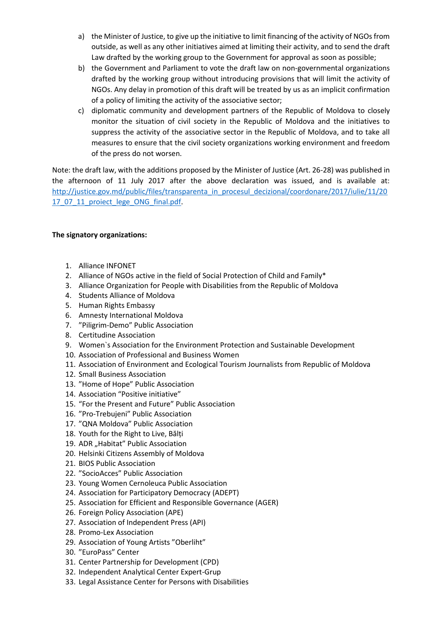- a) the Minister of Justice, to give up the initiative to limit financing of the activity of NGOs from outside, as well as any other initiatives aimed at limiting their activity, and to send the draft Law drafted by the working group to the Government for approval as soon as possible;
- b) the Government and Parliament to vote the draft law on non-governmental organizations drafted by the working group without introducing provisions that will limit the activity of NGOs. Any delay in promotion of this draft will be treated by us as an implicit confirmation of a policy of limiting the activity of the associative sector;
- c) diplomatic community and development partners of the Republic of Moldova to closely monitor the situation of civil society in the Republic of Moldova and the initiatives to suppress the activity of the associative sector in the Republic of Moldova, and to take all measures to ensure that the civil society organizations working environment and freedom of the press do not worsen.

Note: the draft law, with the additions proposed by the Minister of Justice (Art. 26-28) was published in the afternoon of 11 July 2017 after the above declaration was issued, and is available at: [http://justice.gov.md/public/files/transparenta\\_in\\_procesul\\_decizional/coordonare/2017/iulie/11/20](http://justice.gov.md/public/files/transparenta_in_procesul_decizional/coordonare/2017/iulie/11/2017_07_11_proiect_lege_ONG_final.pdf) [17\\_07\\_11\\_proiect\\_lege\\_ONG\\_final.pdf.](http://justice.gov.md/public/files/transparenta_in_procesul_decizional/coordonare/2017/iulie/11/2017_07_11_proiect_lege_ONG_final.pdf)

### **The signatory organizations:**

- 1. Alliance INFONET
- 2. Alliance of NGOs active in the field of Social Protection of Child and Family\*
- 3. Alliance Organization for People with Disabilities from the Republic of Moldova
- 4. Students Alliance of Moldova
- 5. Human Rights Embassy
- 6. Amnesty International Moldova
- 7. "Piligrim-Demo" Public Association
- 8. Certitudine Association
- 9. Women`s Association for the Environment Protection and Sustainable Development
- 10. Association of Professional and Business Women
- 11. Association of Environment and Ecological Tourism Journalists from Republic of Moldova
- 12. Small Business Association
- 13. "Home of Hope" Public Association
- 14. Association "Positive initiative"
- 15. "For the Present and Future" Public Association
- 16. "Pro-Trebujeni" Public Association
- 17. "QNA Moldova" Public Association
- 18. Youth for the Right to Live, Bălți
- 19. ADR "Habitat" Public Association
- 20. Helsinki Citizens Assembly of Moldova
- 21. BIOS Public Association
- 22. "SocioAcces" Public Association
- 23. Young Women Cernoleuca Public Association
- 24. Association for Participatory Democracy (ADEPT)
- 25. Association for Efficient and Responsible Governance (AGER)
- 26. Foreign Policy Association (APE)
- 27. Association of Independent Press (API)
- 28. Promo-Lex Association
- 29. Association of Young Artists "Oberliht"
- 30. "EuroPass" Center
- 31. Center Partnership for Development (CPD)
- 32. Independent Analytical Center Expert-Grup
- 33. Legal Assistance Center for Persons with Disabilities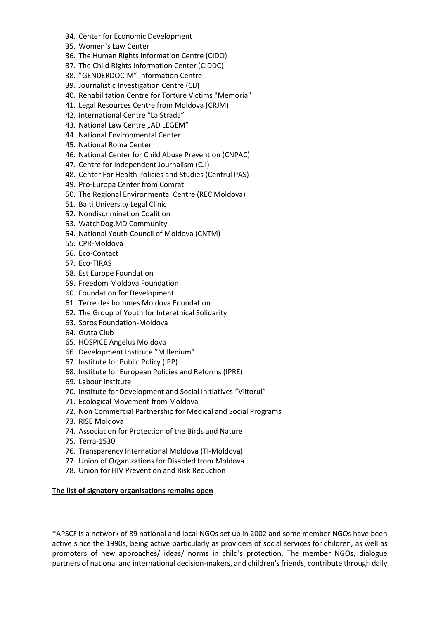- 34. Center for Economic Development
- 35. Women`s Law Center
- 36. The Human Rights Information Centre (CIDO)
- 37. The Child Rights Information Center (CIDDC)
- 38. "GENDERDOC-M" Information Centre
- 39. Journalistic Investigation Centre (CIJ)
- 40. Rehabilitation Centre for Torture Victims "Memoria"
- 41. Legal Resources Centre from Moldova (CRJM)
- 42. International Centre "La Strada"
- 43. National Law Centre "AD LEGEM"
- 44. National Environmental Center
- 45. National Roma Center
- 46. National Center for Child Abuse Prevention (CNPAC)
- 47. Centre for Independent Journalism (CJI)
- 48. Center For Health Policies and Studies (Centrul PAS)
- 49. Pro-Europa Center from Comrat
- 50. The Regional Environmental Centre (REC Moldova)
- 51. Balti University Legal Clinic
- 52. Nondiscrimination Coalition
- 53. WatchDog.MD Community
- 54. National Youth Council of Moldova (CNTM)
- 55. CPR-Moldova
- 56. Eco-Contact
- 57. Eco-TIRAS
- 58. Est Europe Foundation
- 59. Freedom Moldova Foundation
- 60. Foundation for Development
- 61. Terre des hommes Moldova Foundation
- 62. The Group of Youth for Interetnical Solidarity
- 63. Soros Foundation-Moldova
- 64. Gutta Club
- 65. HOSPICE Angelus Moldova
- 66. Development Institute "Millenium"
- 67. Institute for Public Policy (IPP)
- 68. Institute for European Policies and Reforms (IPRE)
- 69. Labour Institute
- 70. Institute for Development and Social Initiatives "Viitorul"
- 71. Ecological Movement from Moldova
- 72. Non Commercial Partnership for Medical and Social Programs
- 73. RISE Moldova
- 74. Association for Protection of the Birds and Nature
- 75. Terra-1530
- 76. Transparency International Moldova (TI-Moldova)
- 77. Union of Organizations for Disabled from Moldova
- 78. Union for HIV Prevention and Risk Reduction

### **The list of signatory organisations remains open**

\*APSCF is a network of 89 national and local NGOs set up in 2002 and some member NGOs have been active since the 1990s, being active particularly as providers of social services for children, as well as promoters of new approaches/ ideas/ norms in child's protection. The member NGOs, dialogue partners of national and international decision-makers, and children's friends, contribute through daily